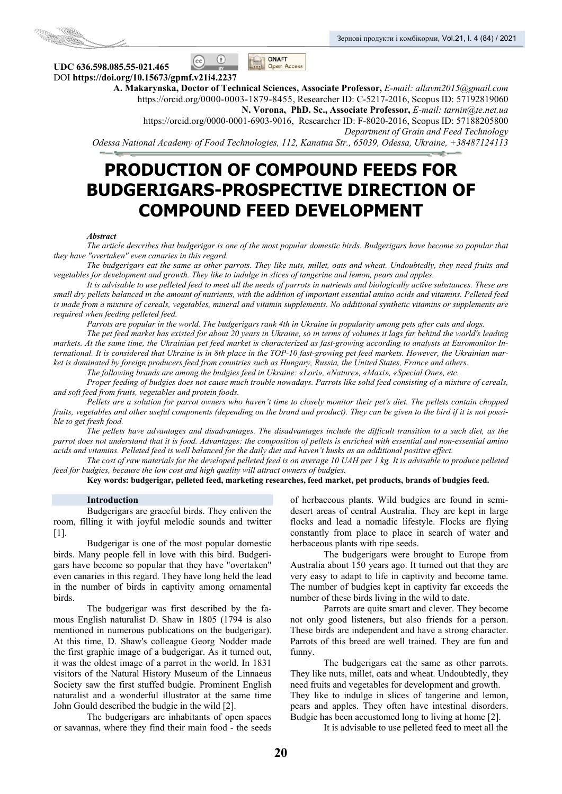



 $\circ$  $|$  (cc)

**UDС 636.598.085.55-021.465**  DOI **https://doi.org/10.15673/gpmf.v21i4.2237** 

**A. Makarynska, Doctor of Technical Sciences, Associate Professor,** *E-mail: allavm2015@gmail.com*  https://orcid.org/0000-0003-1879-8455, Researcher ID: C-5217-2016, Scopus ID: 57192819060 **N. Vorona, PhD. Sc., Associate Professor,** *E-mail: tarnin@te.net.ua*  https://orcid.org/0000-0001-6903-9016, Researcher ID: F-8020-2016, Scopus ID: 57188205800 *Department of Grain and Feed Technology Odessa National Academy of Food Technologies, 112, Kanatna Str., 65039, Odessa, Ukraine, +38487124113*

# **PRODUCTION OF COMPOUND FEEDS FOR BUDGERIGARS-PROSPECTIVE DIRECTION OF COMPOUND FEED DEVELOPMENT**

ONAFT

**Open Access** 

#### *Abstract*

*The article describes that budgerigar is one of the most popular domestic birds. Budgerigars have become so popular that they have "overtaken" even canaries in this regard.* 

*The budgerigars eat the same as other parrots. They like nuts, millet, oats and wheat. Undoubtedly, they need fruits and vegetables for development and growth. They like to indulge in slices of tangerine and lemon, pears and apples.* 

*It is advisable to use pelleted feed to meet all the needs of parrots in nutrients and biologically active substances. These are small dry pellets balanced in the amount of nutrients, with the addition of important essential amino acids and vitamins. Pelleted feed is made from a mixture of cereals, vegetables, mineral and vitamin supplements. No additional synthetic vitamins or supplements are required when feeding pelleted feed.* 

*Parrots are popular in the world. The budgerigars rank 4th in Ukraine in popularity among pets after cats and dogs.* 

*The pet feed market has existed for about 20 years in Ukraine, so in terms of volumes it lags far behind the world's leading markets. At the same time, the Ukrainian pet feed market is characterized as fast-growing according to analysts at Euromonitor International. It is considered that Ukraine is in 8th place in the TOP-10 fast-growing pet feed markets. However, the Ukrainian market is dominated by foreign producers feed from countries such as Hungary, Russia, the United States, France and others.* 

*The following brands are among the budgies feed in Ukraine: «Lori», «Nature», «Maxi», «Special One», etc.* 

*Proper feeding of budgies does not cause much trouble nowadays. Parrots like solid feed consisting of a mixture of cereals, and soft feed from fruits, vegetables and protein foods.* 

*Pellets are a solution for parrot owners who haven't time to closely monitor their pet's diet. The pellets contain chopped fruits, vegetables and other useful components (depending on the brand and product). They can be given to the bird if it is not possible to get fresh food.* 

*The pellets have advantages and disadvantages. The disadvantages include the difficult transition to a such diet, as the parrot does not understand that it is food. Advantages: the composition of pellets is enriched with essential and non-essential amino acids and vitamins. Pelleted feed is well balanced for the daily diet and haven't husks as an additional positive effect.* 

*The cost of raw materials for the developed pelleted feed is on average 10 UAH per 1 kg. It is advisable to produce pelleted feed for budgies, because the low cost and high quality will attract owners of budgies.* 

**Key words: budgerigar, pelleted feed, marketing researches, feed market, pet products, brands of budgies feed.** 

#### **Introduction**

Budgerigars are graceful birds. They enliven the room, filling it with joyful melodic sounds and twitter [1].

Budgerigar is one of the most popular domestic birds. Many people fell in love with this bird. Budgerigars have become so popular that they have "overtaken" even canaries in this regard. They have long held the lead in the number of birds in captivity among ornamental birds.

The budgerigar was first described by the famous English naturalist D. Shaw in 1805 (1794 is also mentioned in numerous publications on the budgerigar). At this time, D. Shaw's colleague Georg Nodder made the first graphic image of a budgerigar. As it turned out, it was the oldest image of a parrot in the world. In 1831 visitors of the Natural History Museum of the Linnaeus Society saw the first stuffed budgie. Prominent English naturalist and a wonderful illustrator at the same time John Gould described the budgie in the wild [2].

The budgerigars are inhabitants of open spaces or savannas, where they find their main food - the seeds

of herbaceous plants. Wild budgies are found in semidesert areas of central Australia. They are kept in large flocks and lead a nomadic lifestyle. Flocks are flying constantly from place to place in search of water and herbaceous plants with ripe seeds.

The budgerigars were brought to Europe from Australia about 150 years ago. It turned out that they are very easy to adapt to life in captivity and become tame. The number of budgies kept in captivity far exceeds the number of these birds living in the wild to date.

Parrots are quite smart and clever. They become not only good listeners, but also friends for a person. These birds are independent and have a strong character. Parrots of this breed are well trained. They are fun and funny.

The budgerigars eat the same as other parrots. They like nuts, millet, oats and wheat. Undoubtedly, they need fruits and vegetables for development and growth. They like to indulge in slices of tangerine and lemon, pears and apples. They often have intestinal disorders. Budgie has been accustomed long to living at home [2].

It is advisable to use pelleted feed to meet all the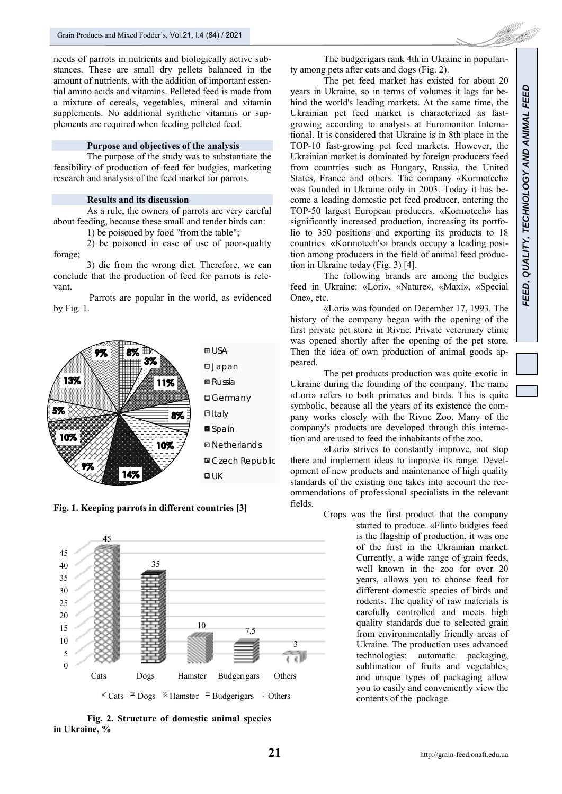needs of parrots in nutrients and biologically active substances. These are small dry pellets balanced in the amount of nutrients, with the addition of important essential amino acids and vitamins. Pelleted feed is made from a mixture of cereals, vegetables, mineral and vitamin supplements. No additional synthetic vitamins or supplements are required when feeding pelleted feed.

# **Purpose and objectives of the analysis**

The purpose of the study was to substantiate the feasibility of production of feed for budgies, marketing research and analysis of the feed market for parrots.

#### **Results and its discussion**

As a rule, the owners of parrots are very careful about feeding, because these small and tender birds can:

1) be poisoned by food "from the table";

2) be poisoned in case of use of poor-quality forage;

3) die from the wrong diet. Therefore, we can conclude that the production of feed for parrots is relevant.

 Parrots are popular in the world, as evidenced by Fig. 1.



**Fig. 1. Keeping parrots in different countries [3]** 



**Fig. 2. Structure of domestic animal species in Ukraine, %** 

The budgerigars rank 4th in Ukraine in popularity among pets after cats and dogs (Fig. 2).

The pet feed market has existed for about 20 years in Ukraine, so in terms of volumes it lags far behind the world's leading markets. At the same time, the Ukrainian pet feed market is characterized as fastgrowing according to analysts at Euromonitor International. It is considered that Ukraine is in 8th place in the TOP-10 fast-growing pet feed markets. However, the Ukrainian market is dominated by foreign producers feed from countries such as Hungary, Russia, the United States, France and others. The company «Kormotech» was founded in Ukraine only in 2003. Today it has become a leading domestic pet feed producer, entering the TOP-50 largest European producers. «Kormotech» has significantly increased production, increasing its portfolio to 350 positions and exporting its products to 18 countries. «Kormotech's» brands occupy a leading position among producers in the field of animal feed production in Ukraine today (Fig. 3) [4].

The following brands are among the budgies feed in Ukraine: «Lori», «Nature», «Maxi», «Special One», etc.

«Lori» was founded on December 17, 1993. The history of the company began with the opening of the first private pet store in Rivne. Private veterinary clinic was opened shortly after the opening of the pet store. Then the idea of own production of animal goods appeared.

The pet products production was quite exotic in Ukraine during the founding of the company. The name «Lori» refers to both primates and birds. This is quite symbolic, because all the years of its existence the company works closely with the Rivne Zoo. Many of the company's products are developed through this interaction and are used to feed the inhabitants of the zoo.

«Lori» strives to constantly improve, not stop there and implement ideas to improve its range. Development of new products and maintenance of high quality standards of the existing one takes into account the recommendations of professional specialists in the relevant fields.

> Crops was the first product that the company started to produce. «Flint» budgies feed is the flagship of production, it was one of the first in the Ukrainian market. Currently, a wide range of grain feeds, well known in the zoo for over 20 years, allows you to choose feed for different domestic species of birds and rodents. The quality of raw materials is carefully controlled and meets high quality standards due to selected grain from environmentally friendly areas of Ukraine. The production uses advanced technologies: automatic packaging, sublimation of fruits and vegetables, and unique types of packaging allow you to easily and conveniently view the contents of the package.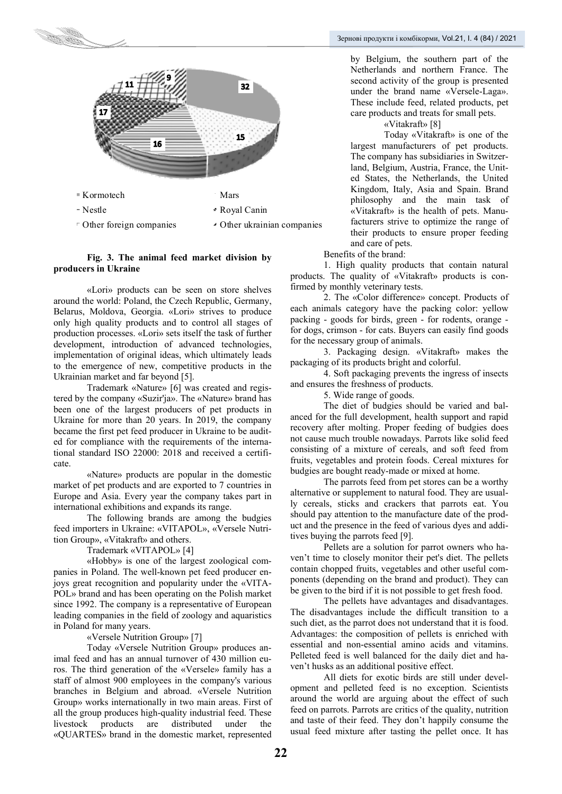

### **Fig. 3. The animal feed market division by producers in Ukraine**

«Lori» products can be seen on store shelves around the world: Poland, the Czech Republic, Germany, Belarus, Moldova, Georgia. «Lori» strives to produce only high quality products and to control all stages of production processes. «Lori» sets itself the task of further development, introduction of advanced technologies, implementation of original ideas, which ultimately leads to the emergence of new, competitive products in the Ukrainian market and far beyond [5].

Trademark «Nature» [6] was created and registered by the company «Suzіr'ja». The «Nature» brand has been one of the largest producers of pet products in Ukraine for more than 20 years. In 2019, the company became the first pet feed producer in Ukraine to be audited for compliance with the requirements of the international standard ISO 22000: 2018 and received a certificate.

«Nature» products are popular in the domestic market of pet products and are exported to 7 countries in Europe and Asia. Every year the company takes part in international exhibitions and expands its range.

The following brands are among the budgies feed importers in Ukraine: «VITAPOL», «Versele Nutrition Group», «Vitakraft» and others.

Trademark «VITAPOL» [4]

«Hobby» is one of the largest zoological companies in Poland. The well-known pet feed producer enjoys great recognition and popularity under the «VITA-POL» brand and has been operating on the Polish market since 1992. The company is a representative of European leading companies in the field of zoology and aquaristics in Poland for many years.

# «Versele Nutrition Group» [7]

Today «Versele Nutrition Group» produces animal feed and has an annual turnover of 430 million euros. The third generation of the «Versele» family has a staff of almost 900 employees in the company's various branches in Belgium and abroad. «Versele Nutrition Group» works internationally in two main areas. First of all the group produces high-quality industrial feed. These<br>livestock products are distributed under the livestock products are distributed under the «QUARTES» brand in the domestic market, represented

by Belgium, the southern part of the Netherlands and northern France. The second activity of the group is presented under the brand name «Versele-Laga». These include feed, related products, pet care products and treats for small pets.

«Vitakraft» [8]

Today «Vitakraft» is one of the largest manufacturers of pet products. The company has subsidiaries in Switzerland, Belgium, Austria, France, the United States, the Netherlands, the United Kingdom, Italy, Asia and Spain. Brand philosophy and the main task of «Vitakraft» is the health of pets. Manufacturers strive to optimize the range of their products to ensure proper feeding and care of pets.

Benefits of the brand:

1. High quality products that contain natural products. The quality of «Vitakraft» products is confirmed by monthly veterinary tests.

2. The «Color difference» concept. Products of each animals category have the packing color: yellow packing - goods for birds, green - for rodents, orange for dogs, crimson - for cats. Buyers can easily find goods for the necessary group of animals.

3. Packaging design. «Vitakraft» makes the packaging of its products bright and colorful.

4. Soft packaging prevents the ingress of insects and ensures the freshness of products.

5. Wide range of goods.

The diet of budgies should be varied and balanced for the full development, health support and rapid recovery after molting. Proper feeding of budgies does not cause much trouble nowadays. Parrots like solid feed consisting of a mixture of cereals, and soft feed from fruits, vegetables and protein foods. Cereal mixtures for budgies are bought ready-made or mixed at home.

The parrots feed from pet stores can be a worthy alternative or supplement to natural food. They are usually cereals, sticks and crackers that parrots eat. You should pay attention to the manufacture date of the product and the presence in the feed of various dyes and additives buying the parrots feed [9].

Pellets are a solution for parrot owners who haven't time to closely monitor their pet's diet. The pellets contain chopped fruits, vegetables and other useful components (depending on the brand and product). They can be given to the bird if it is not possible to get fresh food.

The pellets have advantages and disadvantages. The disadvantages include the difficult transition to a such diet, as the parrot does not understand that it is food. Advantages: the composition of pellets is enriched with essential and non-essential amino acids and vitamins. Pelleted feed is well balanced for the daily diet and haven't husks as an additional positive effect.

All diets for exotic birds are still under development and pelleted feed is no exception. Scientists around the world are arguing about the effect of such feed on parrots. Parrots are critics of the quality, nutrition and taste of their feed. They don't happily consume the usual feed mixture after tasting the pellet once. It has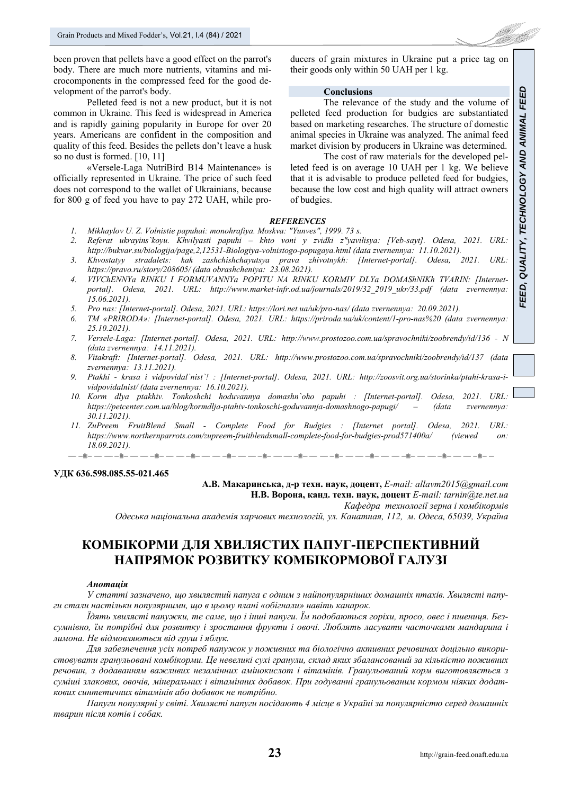been proven that pellets have a good effect on the parrot's body. There are much more nutrients, vitamins and microcomponents in the compressed feed for the good development of the parrot's body.

Pelleted feed is not a new product, but it is not common in Ukraine. This feed is widespread in America and is rapidly gaining popularity in Europe for over 20 years. Americans are confident in the composition and quality of this feed. Besides the pellets don't leave a husk so no dust is formed. [10, 11]

«Versele-Laga NutriBird B14 Maintenance» is officially represented in Ukraine. The price of such feed does not correspond to the wallet of Ukrainians, because for 800 g of feed you have to pay 272 UAH, while producers of grain mixtures in Ukraine put a price tag on their goods only within 50 UAH per 1 kg.

#### **Conclusions**

The relevance of the study and the volume of pelleted feed production for budgies are substantiated based on marketing researches. The structure of domestic animal species in Ukraine was analyzed. The animal feed market division by producers in Ukraine was determined.

The cost of raw materials for the developed pelleted feed is on average 10 UAH per 1 kg. We believe that it is advisable to produce pelleted feed for budgies, because the low cost and high quality will attract owners of budgies.

#### *REFERENCES*

- *1. Mikhaylov U. Z. Volnistie papuhai: monohrafiya. Moskva: "Yunves", 1999. 73 s.*
- *2. Referat ukrayins`koyu. Khvilyasti papuhi khto voni y zvidki z"yavilisya: [Veb-sayt]. Odesa, 2021. URL: http://bukvar.su/biologija/page,2,12531-Biologiya-volnistogo-popugaya.html (data zvernennya: 11.10.2021).*
- *3. Khvostatyy stradalets: kak zashchishchayutsya prava zhivotnykh: [Internet-portal]. Odesa, 2021. URL: https://pravo.ru/story/208605/ (data obrashcheniya: 23.08.2021).*
- *4. VIVChENNYa RINKU I FORMUVANNYa POPITU NA RINKU KORMIV DLYa DOMAShNIKh TVARIN: [Internetportal]. Odesa, 2021. URL: http://www.market-infr.od.ua/journals/2019/32\_2019\_ukr/33.pdf (data zvernennya: 15.06.2021).*
- *5. Pro nas: [Internet-portal]. Odesa, 2021. URL: https://lori.net.ua/uk/pro-nas/ (data zvernennya: 20.09.2021).*
- *6. TM «PRIRODA»: [Internet-portal]. Odesa, 2021. URL: https://priroda.ua/uk/content/1-pro-nas%20 (data zvernennya: 25.10.2021).*
- *7. Versele-Laga: [Internet-portal]. Odesa, 2021. URL: http://www.prostozoo.com.ua/spravochniki/zoobrendy/id/136 N (data zvernennya: 14.11.2021).*
- *8. Vitakraft: [Internet-portal]. Odesa, 2021. URL: http://www.prostozoo.com.ua/spravochniki/zoobrendy/id/137 (data zvernennya: 13.11.2021).*
- *9. Ptakhi krasa i vidpovidal`nist`! : [Internet-portal]. Odesa, 2021. URL: http://zoosvit.org.ua/storinka/ptahi-krasa-ividpovidalnist/ (data zvernennya: 16.10.2021).*
- *10. Korm dlya ptakhiv. Tonkoshchi hoduvannya domashn`oho papuhi : [Internet-portal]. Odesa, 2021. URL: https://petcenter.com.ua/blog/kormdlja-ptahiv-tonkoschi-goduvannja-domashnogo-papugi/ – (data zvernennya: 30.11.2021).*
- *11. ZuPreem FruitBlend Small Complete Food for Budgies : [Internet portal]. Odesa, 2021. URL: https://www.northernparrots.com/zupreem-fruitblendsmall-complete-food-for-budgies-prod571400a/ (viewed on: 18.09.2021).*  المؤت المدارسة والمتواصل المدارك والمتواصل متعاطف والمتواصل مستحلة والمساحد والمتواصل  $= -i$

#### **УДК 636.598.085.55-021.465**

**А.В. Макаринська, д-р техн. наук, доцент,** *E-mail: allavm2015@gmail.com* **Н.В. Ворона, канд. техн. наук, доцент** *E-mail: tarnin@te.net.ua Кафедра технології зерна і комбікормів Одеська національна академія харчових технологій, ул. Канатная, 112, м. Одеса, 65039, Україна*

# **КОМБІКОРМИ ДЛЯ ХВИЛЯСТИХ ПАПУГ-ПЕРСПЕКТИВНИЙ НАПРЯМОК РОЗВИТКУ КОМБІКОРМОВОЇ ГАЛУЗІ**

#### *Анотація*

*У статті зазначено, що хвилястий папуга є одним з найпопулярніших домашніх птахів. Хвилясті папуги стали настільки популярними, що в цьому плані «обігнали» навіть канарок.* 

Тдять хвилясті папужки, те саме, шо і інші папуги. Їм подобаються горіхи, просо, овес і пшениця. Без*сумнівно, їм потрібні для розвитку і зростання фрукти і овочі. Люблять ласувати часточками мандарина і лимона. Не відмовляються від груш і яблук.* 

*Для забезпечення усіх потреб папужок у поживних та біологічно активних речовинах доцільно використовувати гранульовані комбікорми. Це невеликі сухі гранули, склад яких збалансований за кількістю поживних речовин, з додаванням важливих незамінних амінокислот і вітамінів. Гранульований корм виготовляється з* суміші злакових, овочів, мінеральних і вітамінних добавок. При годуванні гранульованим кормом ніяких додат*кових синтетичних вітамінів або добавок не потрібно.* 

*Папуги популярні у світі. Хвилясті папуги посідають 4 місце в Україні за популярністю серед домашніх тварин після котів і собак.*